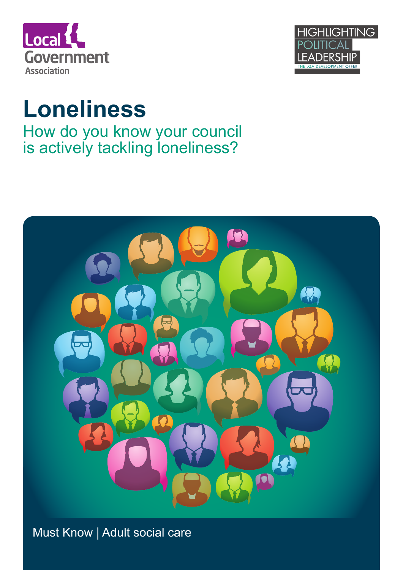



# **Loneliness**

How do you know your council is actively tackling loneliness?



Must Know | Adult social care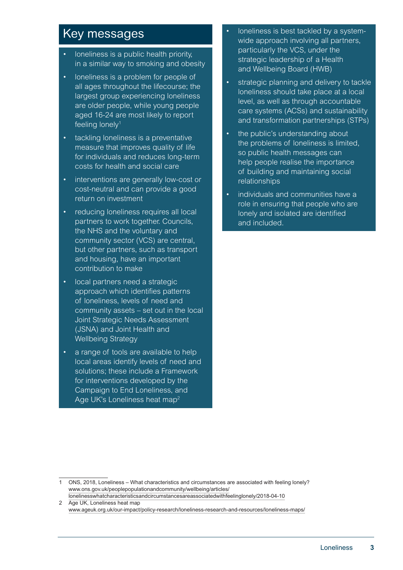## Key messages

- loneliness is a public health priority, in a similar way to smoking and obesity
- loneliness is a problem for people of all ages throughout the lifecourse; the largest group experiencing loneliness are older people, while young people aged 16-24 are most likely to report feeling lonely<sup>1</sup>
- tackling loneliness is a preventative measure that improves quality of life for individuals and reduces long-term costs for health and social care
- interventions are generally low-cost or cost-neutral and can provide a good return on investment
- reducing loneliness requires all local partners to work together. Councils, the NHS and the voluntary and community sector (VCS) are central, but other partners, such as transport and housing, have an important contribution to make
- local partners need a strategic approach which identifies patterns of loneliness, levels of need and community assets – set out in the local Joint Strategic Needs Assessment (JSNA) and Joint Health and Wellbeing Strategy
- a range of tools are available to help local areas identify levels of need and solutions; these include a Framework for interventions developed by the Campaign to End Loneliness, and Age UK's Loneliness heat map<sup>2</sup>
- loneliness is best tackled by a systemwide approach involving all partners, particularly the VCS, under the strategic leadership of a Health and Wellbeing Board (HWB)
- strategic planning and delivery to tackle loneliness should take place at a local level, as well as through accountable care systems (ACSs) and sustainability and transformation partnerships (STPs)
- the public's understanding about the problems of loneliness is limited, so public health messages can help people realise the importance of building and maintaining social relationships
- individuals and communities have a role in ensuring that people who are lonely and isolated are identified and included.

<sup>1</sup> ONS, 2018, Loneliness – What characteristics and circumstances are associated with feeling lonely? [www.ons.gov.uk/peoplepopulationandcommunity/wellbeing/articles/](https://www.ons.gov.uk/peoplepopulationandcommunity/wellbeing/articles/lonelinesswhatcharacteristicsandcircumstancesareassociatedwithfeelinglonely/2018-04-10) [lonelinesswhatcharacteristicsandcircumstancesareassociatedwithfeelinglonely/2018-04-10](https://www.ons.gov.uk/peoplepopulationandcommunity/wellbeing/articles/lonelinesswhatcharacteristicsandcircumstancesareassociatedwithfeelinglonely/2018-04-10)

<sup>2</sup> Age UK, Loneliness heat map [www.ageuk.org.uk/our-impact/policy-research/loneliness-research-and-resources/loneliness-maps/](https://www.ageuk.org.uk/our-impact/policy-research/loneliness-research-and-resources/loneliness-maps/)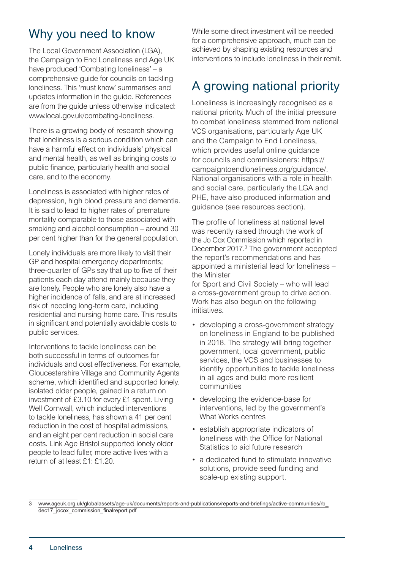# Why you need to know

The Local Government Association (LGA), the Campaign to End Loneliness and Age UK have produced 'Combating loneliness' – a comprehensive guide for councils on tackling loneliness. This 'must know' summarises and updates information in the guide. References are from the guide unless otherwise indicated: [www.local.gov.uk/combating-loneliness](http://www.local.gov.uk/combating-loneliness).

There is a growing body of research showing that loneliness is a serious condition which can have a harmful effect on individuals' physical and mental health, as well as bringing costs to public finance, particularly health and social care, and to the economy.

Loneliness is associated with higher rates of depression, high blood pressure and dementia. It is said to lead to higher rates of premature mortality comparable to those associated with smoking and alcohol consumption – around 30 per cent higher than for the general population.

Lonely individuals are more likely to visit their GP and hospital emergency departments; three-quarter of GPs say that up to five of their patients each day attend mainly because they are lonely. People who are lonely also have a higher incidence of falls, and are at increased risk of needing long-term care, including residential and nursing home care. This results in significant and potentially avoidable costs to public services.

Interventions to tackle loneliness can be both successful in terms of outcomes for individuals and cost effectiveness. For example, Gloucestershire Village and Community Agents scheme, which identified and supported lonely, isolated older people, gained in a return on investment of £3.10 for every £1 spent. Living Well Cornwall, which included interventions to tackle loneliness, has shown a 41 per cent reduction in the cost of hospital admissions, and an eight per cent reduction in social care costs. Link Age Bristol supported lonely older people to lead fuller, more active lives with a return of at least £1: £1.20.

While some direct investment will be needed for a comprehensive approach, much can be achieved by shaping existing resources and interventions to include loneliness in their remit.

# A growing national priority

Loneliness is increasingly recognised as a national priority. Much of the initial pressure to combat loneliness stemmed from national VCS organisations, particularly Age UK and the Campaign to End Loneliness, which provides useful online guidance for councils and commissioners: [https://](https://campaigntoendloneliness.org/guidance/) [campaigntoendloneliness.org/guidance/.](https://campaigntoendloneliness.org/guidance/) National organisations with a role in health and social care, particularly the LGA and PHE, have also produced information and guidance (see resources section).

The profile of loneliness at national level was recently raised through the work of the Jo Cox Commission which reported in December 2017.<sup>3</sup> The government accepted the report's recommendations and has appointed a ministerial lead for loneliness – the Minister

for Sport and Civil Society – who will lead a cross-government group to drive action. Work has also begun on the following initiatives.

- developing a cross-government strategy on loneliness in England to be published in 2018. The strategy will bring together government, local government, public services, the VCS and businesses to identify opportunities to tackle loneliness in all ages and build more resilient communities
- developing the evidence-base for interventions, led by the government's What Works centres
- establish appropriate indicators of loneliness with the Office for National Statistics to aid future research
- a dedicated fund to stimulate innovative solutions, provide seed funding and scale-up existing support.

<sup>3</sup> [www.ageuk.org.uk/globalassets/age-uk/documents/reports-and-publications/reports-and-briefings/active-communities/rb\\_](http://www.ageuk.org.uk/globalassets/age-uk/documents/reports-and-publications/reports-and-briefings/active-communities/rb_dec17_jocox_commission_finalreport.pdf) [dec17\\_jocox\\_commission\\_finalreport.pdf](http://www.ageuk.org.uk/globalassets/age-uk/documents/reports-and-publications/reports-and-briefings/active-communities/rb_dec17_jocox_commission_finalreport.pdf)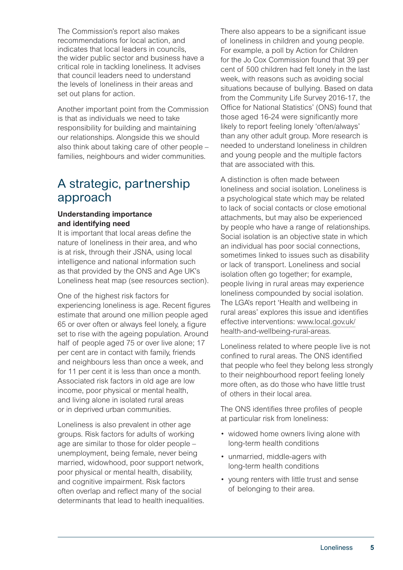The Commission's report also makes recommendations for local action, and indicates that local leaders in councils, the wider public sector and business have a critical role in tackling loneliness. It advises that council leaders need to understand the levels of loneliness in their areas and set out plans for action.

Another important point from the Commission is that as individuals we need to take responsibility for building and maintaining our relationships. Alongside this we should also think about taking care of other people – families, neighbours and wider communities.

## A strategic, partnership approach

#### **Understanding importance and identifying need**

It is important that local areas define the nature of loneliness in their area, and who is at risk, through their JSNA, using local intelligence and national information such as that provided by the ONS and Age UK's Loneliness heat map (see resources section).

One of the highest risk factors for experiencing loneliness is age. Recent figures estimate that around one million people aged 65 or over often or always feel lonely, a figure set to rise with the ageing population. Around half of people aged 75 or over live alone; 17 per cent are in contact with family, friends and neighbours less than once a week, and for 11 per cent it is less than once a month. Associated risk factors in old age are low income, poor physical or mental health, and living alone in isolated rural areas or in deprived urban communities.

Loneliness is also prevalent in other age groups. Risk factors for adults of working age are similar to those for older people – unemployment, being female, never being married, widowhood, poor support network, poor physical or mental health, disability, and cognitive impairment. Risk factors often overlap and reflect many of the social determinants that lead to health inequalities. There also appears to be a significant issue of loneliness in children and young people. For example, a poll by Action for Children for the Jo Cox Commission found that 39 per cent of 500 children had felt lonely in the last week, with reasons such as avoiding social situations because of bullying. Based on data from the Community Life Survey 2016-17, the Office for National Statistics' (ONS) found that those aged 16-24 were significantly more likely to report feeling lonely 'often/always' than any other adult group. More research is needed to understand loneliness in children and young people and the multiple factors that are associated with this.

A distinction is often made between loneliness and social isolation. Loneliness is a psychological state which may be related to lack of social contacts or close emotional attachments, but may also be experienced by people who have a range of relationships. Social isolation is an objective state in which an individual has poor social connections, sometimes linked to issues such as disability or lack of transport. Loneliness and social isolation often go together; for example, people living in rural areas may experience loneliness compounded by social isolation. The LGA's report 'Health and wellbeing in rural areas' explores this issue and identifies effective interventions: [www.local.gov.uk/](http://www.local.gov.uk/health-and-wellbeing-rural-areas) [health-and-wellbeing-rural-areas](http://www.local.gov.uk/health-and-wellbeing-rural-areas).

Loneliness related to where people live is not confined to rural areas. The ONS identified that people who feel they belong less strongly to their neighbourhood report feeling lonely more often, as do those who have little trust of others in their local area.

The ONS identifies three profiles of people at particular risk from loneliness:

- widowed home owners living alone with long-term health conditions
- unmarried, middle-agers with long-term health conditions
- young renters with little trust and sense of belonging to their area.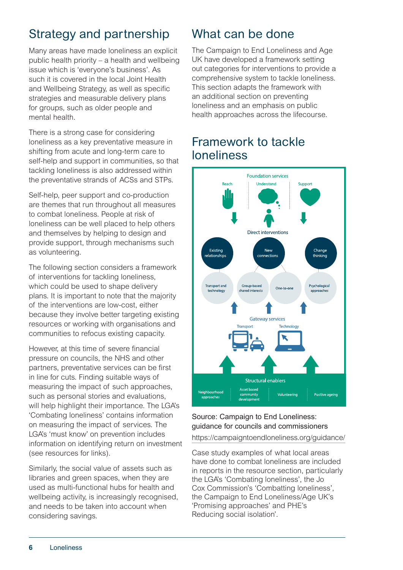# Strategy and partnership

Many areas have made loneliness an explicit public health priority – a health and wellbeing issue which is 'everyone's business'. As such it is covered in the local Joint Health and Wellbeing Strategy, as well as specific strategies and measurable delivery plans for groups, such as older people and mental health.

There is a strong case for considering loneliness as a key preventative measure in shifting from acute and long-term care to self-help and support in communities, so that tackling loneliness is also addressed within the preventative strands of ACSs and STPs.

Self-help, peer support and co-production are themes that run throughout all measures to combat loneliness. People at risk of loneliness can be well placed to help others and themselves by helping to design and provide support, through mechanisms such as volunteering.

The following section considers a framework of interventions for tackling loneliness, which could be used to shape delivery plans. It is important to note that the majority of the interventions are low-cost, either because they involve better targeting existing resources or working with organisations and communities to refocus existing capacity.

However, at this time of severe financial pressure on councils, the NHS and other partners, preventative services can be first in line for cuts. Finding suitable ways of measuring the impact of such approaches, such as personal stories and evaluations, will help highlight their importance. The LGA's 'Combating loneliness' contains information on measuring the impact of services. The LGA's 'must know' on prevention includes information on identifying return on investment (see resources for links).

Similarly, the social value of assets such as libraries and green spaces, when they are used as multi-functional hubs for health and wellbeing activity, is increasingly recognised, and needs to be taken into account when considering savings.

# What can be done

The Campaign to End Loneliness and Age UK have developed a framework setting out categories for interventions to provide a comprehensive system to tackle loneliness. This section adapts the framework with an additional section on preventing loneliness and an emphasis on public health approaches across the lifecourse.

## Framework to tackle loneliness



#### Source: Campaign to End Loneliness: guidance for councils and commissioners <https://campaigntoendloneliness.org/guidance/>

Case study examples of what local areas have done to combat loneliness are included in reports in the resource section, particularly the LGA's 'Combating loneliness', the Jo Cox Commission's 'Combatting loneliness', the Campaign to End Loneliness/Age UK's 'Promising approaches' and PHE's Reducing social isolation'.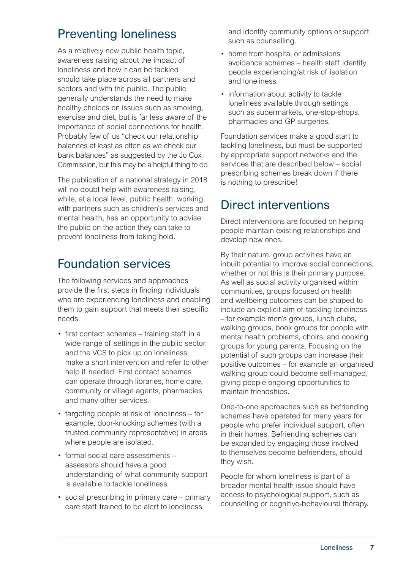# Preventing loneliness

As a relatively new public health topic, awareness raising about the impact of loneliness and how it can be tackled should take place across all partners and sectors and with the public. The public generally understands the need to make healthy choices on issues such as smoking, exercise and diet, but is far less aware of the importance of social connections for health. Probably few of us "check our relationship balances at least as often as we check our bank balances" as suggested by the Jo Cox Commission, but this may be a helpful thing to do.

The publication of a national strategy in 2018 will no doubt help with awareness raising, while, at a local level, public health, working with partners such as children's services and mental health, has an opportunity to advise the public on the action they can take to prevent loneliness from taking hold.

# Foundation services

The following services and approaches provide the first steps in finding individuals who are experiencing loneliness and enabling them to gain support that meets their specific needs.

- first contact schemes training staff in a wide range of settings in the public sector and the VCS to pick up on loneliness, make a short intervention and refer to other help if needed. First contact schemes can operate through libraries, home care, community or village agents, pharmacies and many other services.
- targeting people at risk of loneliness for example, door-knocking schemes (with a trusted community representative) in areas where people are isolated.
- formal social care assessments assessors should have a good understanding of what community support is available to tackle loneliness.
- social prescribing in primary care primary care staff trained to be alert to loneliness

and identify community options or support such as counselling.

- home from hospital or admissions avoidance schemes – health staff identify people experiencing/at risk of isolation and loneliness.
- information about activity to tackle loneliness available through settings such as supermarkets, one-stop-shops, pharmacies and GP surgeries.

Foundation services make a good start to tackling loneliness, but must be supported by appropriate support networks and the services that are described below – social prescribing schemes break down if there is nothing to prescribe!

## Direct interventions

Direct interventions are focused on helping people maintain existing relationships and develop new ones.

By their nature, group activities have an inbuilt potential to improve social connections, whether or not this is their primary purpose. As well as social activity organised within communities, groups focused on health and wellbeing outcomes can be shaped to include an explicit aim of tackling loneliness – for example men's groups, lunch clubs, walking groups, book groups for people with mental health problems, choirs, and cooking groups for young parents. Focusing on the potential of such groups can increase their positive outcomes – for example an organised walking group could become self-managed, giving people ongoing opportunities to maintain friendships.

One-to-one approaches such as befriending schemes have operated for many years for people who prefer individual support, often in their homes. Befriending schemes can be expanded by engaging those involved to themselves become befrienders, should they wish.

People for whom loneliness is part of a broader mental health issue should have access to psychological support, such as counselling or cognitive-behavioural therapy.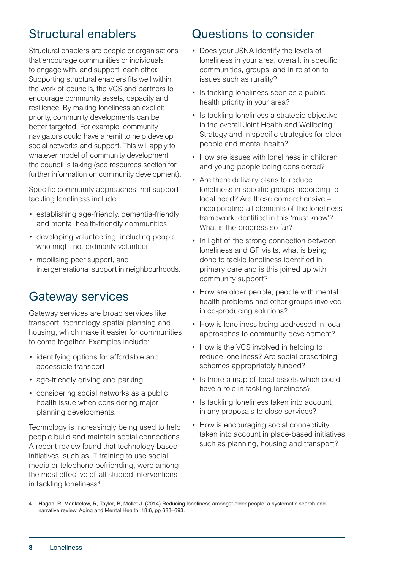# Structural enablers

Structural enablers are people or organisations that encourage communities or individuals to engage with, and support, each other. Supporting structural enablers fits well within the work of councils, the VCS and partners to encourage community assets, capacity and resilience. By making loneliness an explicit priority, community developments can be better targeted. For example, community navigators could have a remit to help develop social networks and support. This will apply to whatever model of community development the council is taking (see resources section for further information on community development).

Specific community approaches that support tackling loneliness include:

- establishing age-friendly, dementia-friendly and mental health-friendly communities
- developing volunteering, including people who might not ordinarily volunteer
- mobilising peer support, and intergenerational support in neighbourhoods.

# Gateway services

Gateway services are broad services like transport, technology, spatial planning and housing, which make it easier for communities to come together. Examples include:

- identifying options for affordable and accessible transport
- age-friendly driving and parking
- considering social networks as a public health issue when considering major planning developments.

Technology is increasingly being used to help people build and maintain social connections. A recent review found that technology based initiatives, such as IT training to use social media or telephone befriending, were among the most effective of all studied interventions in tackling loneliness<sup>4</sup>.

# Questions to consider

- Does your JSNA identify the levels of loneliness in your area, overall, in specific communities, groups, and in relation to issues such as rurality?
- Is tackling loneliness seen as a public health priority in your area?
- Is tackling loneliness a strategic objective in the overall Joint Health and Wellbeing Strategy and in specific strategies for older people and mental health?
- How are issues with loneliness in children and young people being considered?
- Are there delivery plans to reduce loneliness in specific groups according to local need? Are these comprehensive – incorporating all elements of the loneliness framework identified in this 'must know'? What is the progress so far?
- In light of the strong connection between loneliness and GP visits, what is being done to tackle loneliness identified in primary care and is this joined up with community support?
- How are older people, people with mental health problems and other groups involved in co-producing solutions?
- How is loneliness being addressed in local approaches to community development?
- How is the VCS involved in helping to reduce loneliness? Are social prescribing schemes appropriately funded?
- Is there a map of local assets which could have a role in tackling loneliness?
- Is tackling loneliness taken into account in any proposals to close services?
- How is encouraging social connectivity taken into account in place-based initiatives such as planning, housing and transport?

<sup>4</sup> Hagan, R, Manktelow, R, Taylor, B, Mallet J. (2014) Reducing loneliness amongst older people: a systematic search and narrative review, Aging and Mental Health, 18:6, pp 683–693.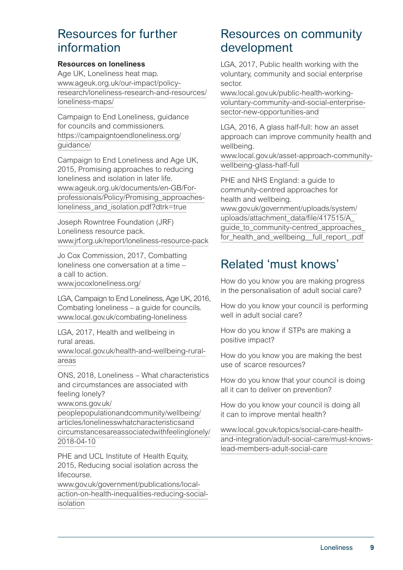## Resources for further information

#### **Resources on loneliness**

Age UK, Loneliness heat map. [www.ageuk.org.uk/our-impact/policy](http://www.ageuk.org.uk/our-impact/policy-research/loneliness-research-and-resources/loneliness-maps/)[research/loneliness-research-and-resources/](http://www.ageuk.org.uk/our-impact/policy-research/loneliness-research-and-resources/loneliness-maps/) [loneliness-maps/](http://www.ageuk.org.uk/our-impact/policy-research/loneliness-research-and-resources/loneliness-maps/)

Campaign to End Loneliness, guidance for councils and commissioners. [https://campaigntoendloneliness.org/](https://campaigntoendloneliness.org/guidance/) [guidance/](https://campaigntoendloneliness.org/guidance/)

Campaign to End Loneliness and Age UK, 2015, Promising approaches to reducing loneliness and isolation in later life. [www.ageuk.org.uk/documents/en-GB/For](https://www.ageuk.org.uk/documents/en-GB/For-professionals/Policy/Promising_approaches-loneliness_and_isolation.pdf?dtrk=true)[professionals/Policy/Promising\\_approaches](https://www.ageuk.org.uk/documents/en-GB/For-professionals/Policy/Promising_approaches-loneliness_and_isolation.pdf?dtrk=true)[loneliness\\_and\\_isolation.pdf?dtrk=true](https://www.ageuk.org.uk/documents/en-GB/For-professionals/Policy/Promising_approaches-loneliness_and_isolation.pdf?dtrk=true)

Joseph Rowntree Foundation (JRF) Loneliness resource pack. [www.jrf.org.uk/report/loneliness-resource-pack](http://www.jrf.org.uk/report/loneliness-resource-pack)

Jo Cox Commission, 2017, Combatting loneliness one conversation at a time – a call to action.

www.jocoxloneliness.org/

LGA, Campaign to End Loneliness, Age UK, 2016, Combating loneliness – a guide for councils. [www.local.gov.uk/combating-loneliness](http://www.local.gov.uk/combating-loneliness)

LGA, 2017, Health and wellbeing in rural areas. [www.local.gov.uk/health-and-wellbeing-rural-](http://www.local.gov.uk/health-and-wellbeing-rural-areas)

[areas](http://www.local.gov.uk/health-and-wellbeing-rural-areas)

ONS, 2018, Loneliness – What characteristics and circumstances are associated with feeling lonely?

[www.ons.gov.uk/](https://www.ons.gov.uk/peoplepopulationandcommunity/wellbeing/articles/lonelinesswhatcharacteristicsandcircumstancesareassociatedwithfeelinglonely/2018-04-10)

[peoplepopulationandcommunity/wellbeing/](https://www.ons.gov.uk/peoplepopulationandcommunity/wellbeing/articles/lonelinesswhatcharacteristicsandcircumstancesareassociatedwithfeelinglonely/2018-04-10) [articles/lonelinesswhatcharacteristicsand](https://www.ons.gov.uk/peoplepopulationandcommunity/wellbeing/articles/lonelinesswhatcharacteristicsandcircumstancesareassociatedwithfeelinglonely/2018-04-10) [circumstancesareassociatedwithfeelinglonely/](https://www.ons.gov.uk/peoplepopulationandcommunity/wellbeing/articles/lonelinesswhatcharacteristicsandcircumstancesareassociatedwithfeelinglonely/2018-04-10) [2018-04-10](https://www.ons.gov.uk/peoplepopulationandcommunity/wellbeing/articles/lonelinesswhatcharacteristicsandcircumstancesareassociatedwithfeelinglonely/2018-04-10)

PHE and UCL Institute of Health Equity, 2015, Reducing social isolation across the lifecourse.

[www.gov.uk/government/publications/local](http://www.gov.uk/government/publications/local-action-on-health-inequalities-reducing-social-isolation)[action-on-health-inequalities-reducing-social](http://www.gov.uk/government/publications/local-action-on-health-inequalities-reducing-social-isolation)[isolation](http://www.gov.uk/government/publications/local-action-on-health-inequalities-reducing-social-isolation)

## Resources on community development

LGA, 2017, Public health working with the voluntary, community and social enterprise sector.

[www.local.gov.uk/public-health-working](https://www.local.gov.uk/public-health-working-voluntary-community-and-social-enterprise-sector-new-opportunities-and)[voluntary-community-and-social-enterprise](https://www.local.gov.uk/public-health-working-voluntary-community-and-social-enterprise-sector-new-opportunities-and)[sector-new-opportunities-and](https://www.local.gov.uk/public-health-working-voluntary-community-and-social-enterprise-sector-new-opportunities-and)

LGA, 2016, A glass half-full: how an asset approach can improve community health and wellbeing.

[www.local.gov.uk/asset-approach-community](http://www.local.gov.uk/asset-approach-community-wellbeing-glass-half-full)[wellbeing-glass-half-full](http://www.local.gov.uk/asset-approach-community-wellbeing-glass-half-full)

PHE and NHS England: a guide to community-centred approaches for health and wellbeing. [www.gov.uk/government/uploads/system/](https://www.gov.uk/government/uploads/system/uploads/attachment_data/file/417515/A_guide_to_community-centred_approaches_for_health_and_wellbeing__full_report_.pdf) [uploads/attachment\\_data/file/417515/A\\_](https://www.gov.uk/government/uploads/system/uploads/attachment_data/file/417515/A_guide_to_community-centred_approaches_for_health_and_wellbeing__full_report_.pdf) guide to community-centred approaches for health and wellbeing full report .pdf

# Related 'must knows'

How do you know you are making progress in the personalisation of adult social care?

How do you know your council is performing well in adult social care?

How do you know if STPs are making a positive impact?

How do you know you are making the best use of scarce resources?

How do you know that your council is doing all it can to deliver on prevention?

How do you know your council is doing all it can to improve mental health?

[www.local.gov.uk/topics/social-care-health](http://www.local.gov.uk/topics/social-care-health-and-integration/adult-social-care/must-knows-lead-members-adult-social-care)[and-integration/adult-social-care/must-knows](http://www.local.gov.uk/topics/social-care-health-and-integration/adult-social-care/must-knows-lead-members-adult-social-care)[lead-members-adult-social-care](http://www.local.gov.uk/topics/social-care-health-and-integration/adult-social-care/must-knows-lead-members-adult-social-care)